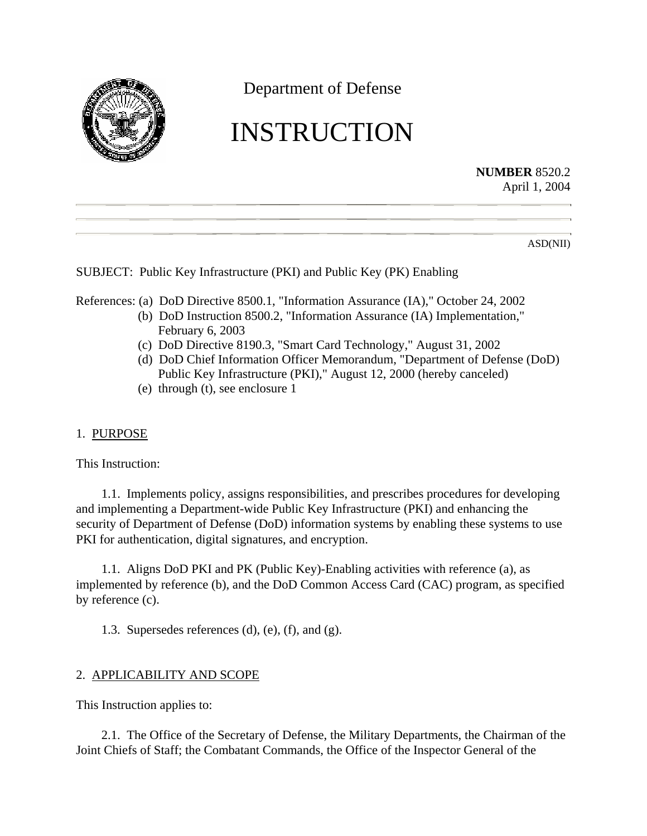

Department of Defense

# INSTRUCTION

**NUMBER** 8520.2 April 1, 2004

ASD(NII)

SUBJECT: Public Key Infrastructure (PKI) and Public Key (PK) Enabling

References: (a) DoD Directive 8500.1, "Information Assurance (IA)," October 24, 2002

- (b) DoD Instruction 8500.2, "Information Assurance (IA) Implementation," February 6, 2003
- (c) DoD Directive 8190.3, "Smart Card Technology," August 31, 2002
- (d) DoD Chief Information Officer Memorandum, "Department of Defense (DoD) Public Key Infrastructure (PKI)," August 12, 2000 (hereby canceled)
- (e) through (t), see enclosure 1
- 1. PURPOSE

This Instruction:

1.1. Implements policy, assigns responsibilities, and prescribes procedures for developing and implementing a Department-wide Public Key Infrastructure (PKI) and enhancing the security of Department of Defense (DoD) information systems by enabling these systems to use PKI for authentication, digital signatures, and encryption.

1.1. Aligns DoD PKI and PK (Public Key)-Enabling activities with reference (a), as implemented by reference (b), and the DoD Common Access Card (CAC) program, as specified by reference (c).

1.3. Supersedes references (d), (e), (f), and (g).

# 2. APPLICABILITY AND SCOPE

This Instruction applies to:

2.1. The Office of the Secretary of Defense, the Military Departments, the Chairman of the Joint Chiefs of Staff; the Combatant Commands, the Office of the Inspector General of the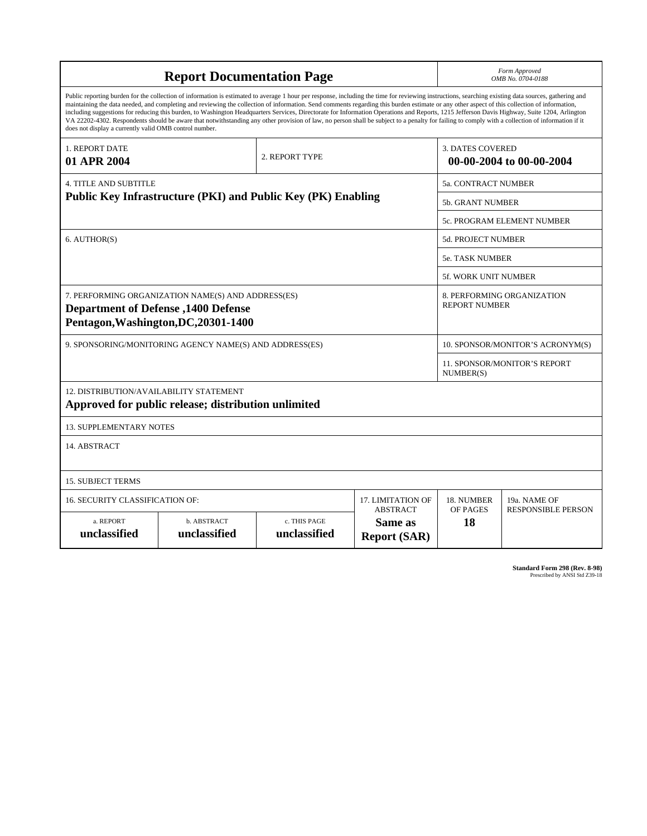| <b>Report Documentation Page</b>                                                                                                                                                                                                                                                                                                                                                                                                                                                                                                                                                                                                                                                                                                                                                                                                                                   |                             |                              |                                                   | Form Approved<br>OMB No. 0704-0188                  |                           |
|--------------------------------------------------------------------------------------------------------------------------------------------------------------------------------------------------------------------------------------------------------------------------------------------------------------------------------------------------------------------------------------------------------------------------------------------------------------------------------------------------------------------------------------------------------------------------------------------------------------------------------------------------------------------------------------------------------------------------------------------------------------------------------------------------------------------------------------------------------------------|-----------------------------|------------------------------|---------------------------------------------------|-----------------------------------------------------|---------------------------|
| Public reporting burden for the collection of information is estimated to average 1 hour per response, including the time for reviewing instructions, searching existing data sources, gathering and<br>maintaining the data needed, and completing and reviewing the collection of information. Send comments regarding this burden estimate or any other aspect of this collection of information,<br>including suggestions for reducing this burden, to Washington Headquarters Services, Directorate for Information Operations and Reports, 1215 Jefferson Davis Highway, Suite 1204, Arlington<br>VA 22202-4302. Respondents should be aware that notwithstanding any other provision of law, no person shall be subject to a penalty for failing to comply with a collection of information if it<br>does not display a currently valid OMB control number. |                             |                              |                                                   |                                                     |                           |
| 1. REPORT DATE<br>01 APR 2004                                                                                                                                                                                                                                                                                                                                                                                                                                                                                                                                                                                                                                                                                                                                                                                                                                      |                             | 2. REPORT TYPE               |                                                   | <b>3. DATES COVERED</b><br>00-00-2004 to 00-00-2004 |                           |
| <b>4. TITLE AND SUBTITLE</b>                                                                                                                                                                                                                                                                                                                                                                                                                                                                                                                                                                                                                                                                                                                                                                                                                                       |                             |                              |                                                   | 5a. CONTRACT NUMBER                                 |                           |
| Public Key Infrastructure (PKI) and Public Key (PK) Enabling                                                                                                                                                                                                                                                                                                                                                                                                                                                                                                                                                                                                                                                                                                                                                                                                       |                             |                              |                                                   | <b>5b. GRANT NUMBER</b>                             |                           |
|                                                                                                                                                                                                                                                                                                                                                                                                                                                                                                                                                                                                                                                                                                                                                                                                                                                                    |                             |                              |                                                   | 5c. PROGRAM ELEMENT NUMBER                          |                           |
| 6. AUTHOR(S)                                                                                                                                                                                                                                                                                                                                                                                                                                                                                                                                                                                                                                                                                                                                                                                                                                                       |                             |                              |                                                   | 5d. PROJECT NUMBER                                  |                           |
|                                                                                                                                                                                                                                                                                                                                                                                                                                                                                                                                                                                                                                                                                                                                                                                                                                                                    |                             |                              |                                                   | <b>5e. TASK NUMBER</b>                              |                           |
|                                                                                                                                                                                                                                                                                                                                                                                                                                                                                                                                                                                                                                                                                                                                                                                                                                                                    |                             |                              |                                                   | 5f. WORK UNIT NUMBER                                |                           |
| 7. PERFORMING ORGANIZATION NAME(S) AND ADDRESS(ES)<br><b>Department of Defense</b> , 1400 Defense<br>Pentagon, Washington, DC, 20301-1400                                                                                                                                                                                                                                                                                                                                                                                                                                                                                                                                                                                                                                                                                                                          |                             |                              |                                                   | 8. PERFORMING ORGANIZATION<br><b>REPORT NUMBER</b>  |                           |
| 9. SPONSORING/MONITORING AGENCY NAME(S) AND ADDRESS(ES)                                                                                                                                                                                                                                                                                                                                                                                                                                                                                                                                                                                                                                                                                                                                                                                                            |                             |                              |                                                   | 10. SPONSOR/MONITOR'S ACRONYM(S)                    |                           |
|                                                                                                                                                                                                                                                                                                                                                                                                                                                                                                                                                                                                                                                                                                                                                                                                                                                                    |                             |                              |                                                   | <b>11. SPONSOR/MONITOR'S REPORT</b><br>NUMBER(S)    |                           |
| 12. DISTRIBUTION/AVAILABILITY STATEMENT<br>Approved for public release; distribution unlimited                                                                                                                                                                                                                                                                                                                                                                                                                                                                                                                                                                                                                                                                                                                                                                     |                             |                              |                                                   |                                                     |                           |
| <b>13. SUPPLEMENTARY NOTES</b>                                                                                                                                                                                                                                                                                                                                                                                                                                                                                                                                                                                                                                                                                                                                                                                                                                     |                             |                              |                                                   |                                                     |                           |
| 14. ABSTRACT                                                                                                                                                                                                                                                                                                                                                                                                                                                                                                                                                                                                                                                                                                                                                                                                                                                       |                             |                              |                                                   |                                                     |                           |
| <b>15. SUBJECT TERMS</b>                                                                                                                                                                                                                                                                                                                                                                                                                                                                                                                                                                                                                                                                                                                                                                                                                                           |                             |                              |                                                   |                                                     |                           |
| 16. SECURITY CLASSIFICATION OF:                                                                                                                                                                                                                                                                                                                                                                                                                                                                                                                                                                                                                                                                                                                                                                                                                                    | 17. LIMITATION OF           | 18. NUMBER                   | 19a. NAME OF                                      |                                                     |                           |
| a. REPORT<br>unclassified                                                                                                                                                                                                                                                                                                                                                                                                                                                                                                                                                                                                                                                                                                                                                                                                                                          | b. ABSTRACT<br>unclassified | c. THIS PAGE<br>unclassified | <b>ABSTRACT</b><br>Same as<br><b>Report (SAR)</b> | OF PAGES<br>18                                      | <b>RESPONSIBLE PERSON</b> |

**Standard Form 298 (Rev. 8-98)**<br>Prescribed by ANSI Std Z39-18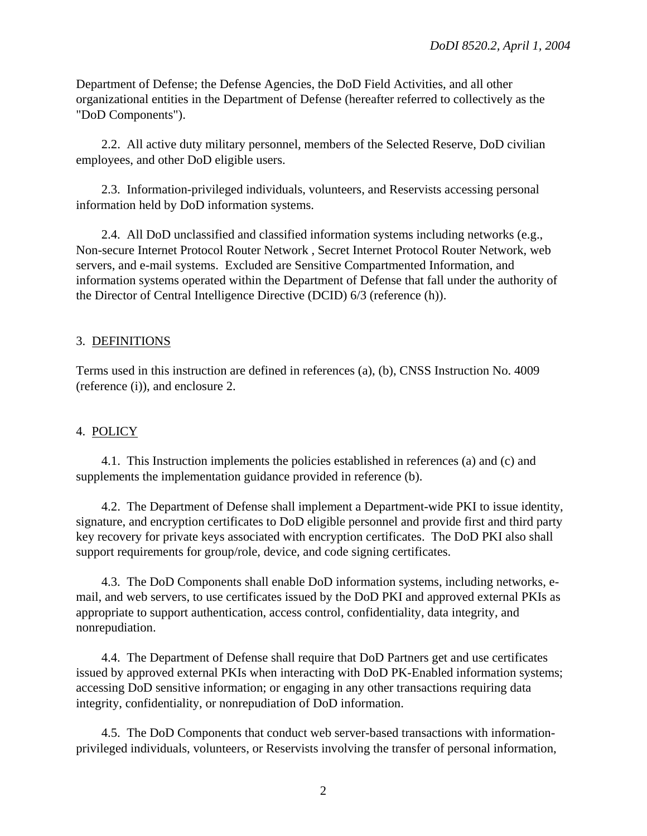Department of Defense; the Defense Agencies, the DoD Field Activities, and all other organizational entities in the Department of Defense (hereafter referred to collectively as the "DoD Components").

2.2. All active duty military personnel, members of the Selected Reserve, DoD civilian employees, and other DoD eligible users.

2.3. Information-privileged individuals, volunteers, and Reservists accessing personal information held by DoD information systems.

2.4. All DoD unclassified and classified information systems including networks (e.g., Non-secure Internet Protocol Router Network , Secret Internet Protocol Router Network, web servers, and e-mail systems. Excluded are Sensitive Compartmented Information, and information systems operated within the Department of Defense that fall under the authority of the Director of Central Intelligence Directive (DCID) 6/3 (reference (h)).

# 3. DEFINITIONS

Terms used in this instruction are defined in references (a), (b), CNSS Instruction No. 4009 (reference (i)), and enclosure 2.

## 4. POLICY

4.1. This Instruction implements the policies established in references (a) and (c) and supplements the implementation guidance provided in reference (b).

4.2. The Department of Defense shall implement a Department-wide PKI to issue identity, signature, and encryption certificates to DoD eligible personnel and provide first and third party key recovery for private keys associated with encryption certificates. The DoD PKI also shall support requirements for group/role, device, and code signing certificates.

4.3. The DoD Components shall enable DoD information systems, including networks, email, and web servers, to use certificates issued by the DoD PKI and approved external PKIs as appropriate to support authentication, access control, confidentiality, data integrity, and nonrepudiation.

4.4. The Department of Defense shall require that DoD Partners get and use certificates issued by approved external PKIs when interacting with DoD PK-Enabled information systems; accessing DoD sensitive information; or engaging in any other transactions requiring data integrity, confidentiality, or nonrepudiation of DoD information.

4.5. The DoD Components that conduct web server-based transactions with informationprivileged individuals, volunteers, or Reservists involving the transfer of personal information,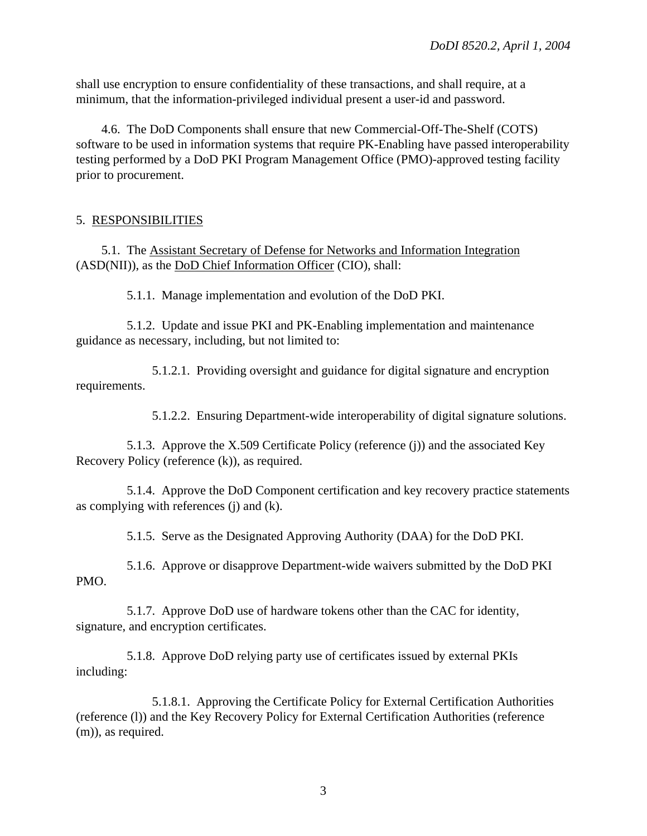shall use encryption to ensure confidentiality of these transactions, and shall require, at a minimum, that the information-privileged individual present a user-id and password.

4.6. The DoD Components shall ensure that new Commercial-Off-The-Shelf (COTS) software to be used in information systems that require PK-Enabling have passed interoperability testing performed by a DoD PKI Program Management Office (PMO)-approved testing facility prior to procurement.

# 5. RESPONSIBILITIES

5.1. The Assistant Secretary of Defense for Networks and Information Integration (ASD(NII)), as the DoD Chief Information Officer (CIO), shall:

5.1.1. Manage implementation and evolution of the DoD PKI.

5.1.2. Update and issue PKI and PK-Enabling implementation and maintenance guidance as necessary, including, but not limited to:

5.1.2.1. Providing oversight and guidance for digital signature and encryption requirements.

5.1.2.2. Ensuring Department-wide interoperability of digital signature solutions.

5.1.3. Approve the X.509 Certificate Policy (reference (j)) and the associated Key Recovery Policy (reference (k)), as required.

5.1.4. Approve the DoD Component certification and key recovery practice statements as complying with references (j) and (k).

5.1.5. Serve as the Designated Approving Authority (DAA) for the DoD PKI.

5.1.6. Approve or disapprove Department-wide waivers submitted by the DoD PKI PMO.

5.1.7. Approve DoD use of hardware tokens other than the CAC for identity, signature, and encryption certificates.

5.1.8. Approve DoD relying party use of certificates issued by external PKIs including:

5.1.8.1. Approving the Certificate Policy for External Certification Authorities (reference (l)) and the Key Recovery Policy for External Certification Authorities (reference (m)), as required.

3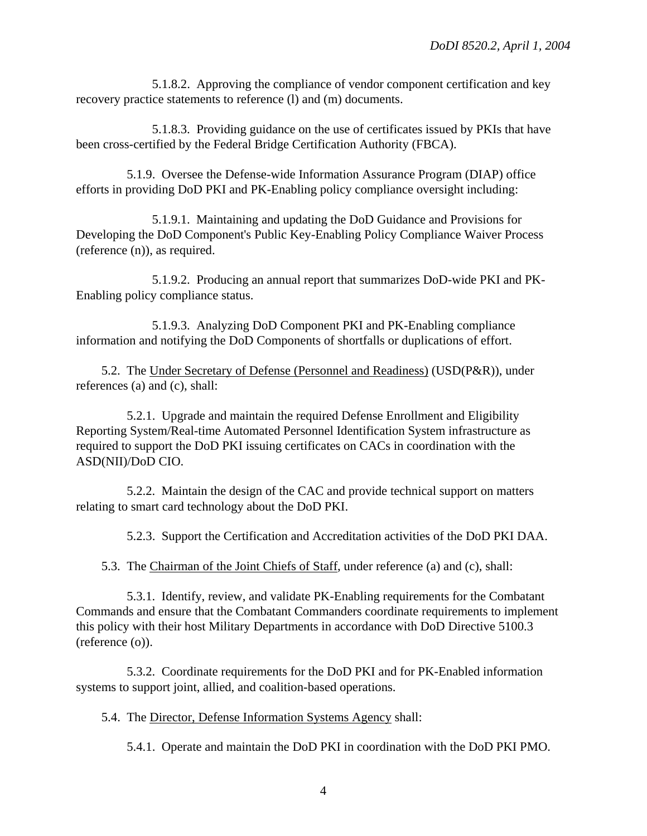5.1.8.2. Approving the compliance of vendor component certification and key recovery practice statements to reference (l) and (m) documents.

5.1.8.3. Providing guidance on the use of certificates issued by PKIs that have been cross-certified by the Federal Bridge Certification Authority (FBCA).

5.1.9. Oversee the Defense-wide Information Assurance Program (DIAP) office efforts in providing DoD PKI and PK-Enabling policy compliance oversight including:

5.1.9.1. Maintaining and updating the DoD Guidance and Provisions for Developing the DoD Component's Public Key-Enabling Policy Compliance Waiver Process (reference (n)), as required.

5.1.9.2. Producing an annual report that summarizes DoD-wide PKI and PK-Enabling policy compliance status.

5.1.9.3. Analyzing DoD Component PKI and PK-Enabling compliance information and notifying the DoD Components of shortfalls or duplications of effort.

5.2. The Under Secretary of Defense (Personnel and Readiness) (USD(P&R)), under references (a) and (c), shall:

5.2.1. Upgrade and maintain the required Defense Enrollment and Eligibility Reporting System/Real-time Automated Personnel Identification System infrastructure as required to support the DoD PKI issuing certificates on CACs in coordination with the ASD(NII)/DoD CIO.

5.2.2. Maintain the design of the CAC and provide technical support on matters relating to smart card technology about the DoD PKI.

5.2.3. Support the Certification and Accreditation activities of the DoD PKI DAA.

5.3. The Chairman of the Joint Chiefs of Staff, under reference (a) and (c), shall:

5.3.1. Identify, review, and validate PK-Enabling requirements for the Combatant Commands and ensure that the Combatant Commanders coordinate requirements to implement this policy with their host Military Departments in accordance with DoD Directive 5100.3 (reference (o)).

5.3.2. Coordinate requirements for the DoD PKI and for PK-Enabled information systems to support joint, allied, and coalition-based operations.

5.4. The Director, Defense Information Systems Agency shall:

5.4.1. Operate and maintain the DoD PKI in coordination with the DoD PKI PMO.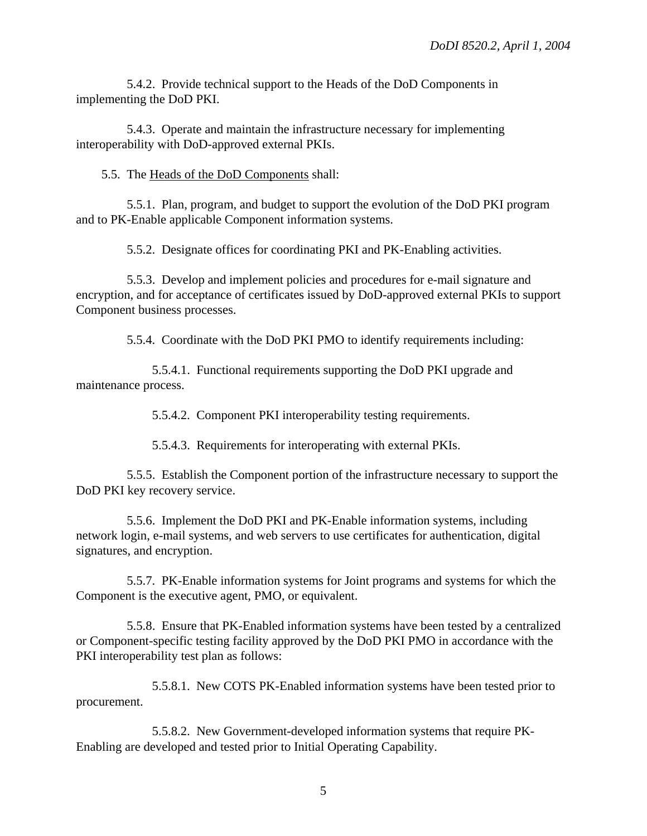5.4.2. Provide technical support to the Heads of the DoD Components in implementing the DoD PKI.

5.4.3. Operate and maintain the infrastructure necessary for implementing interoperability with DoD-approved external PKIs.

5.5. The Heads of the DoD Components shall:

5.5.1. Plan, program, and budget to support the evolution of the DoD PKI program and to PK-Enable applicable Component information systems.

5.5.2. Designate offices for coordinating PKI and PK-Enabling activities.

5.5.3. Develop and implement policies and procedures for e-mail signature and encryption, and for acceptance of certificates issued by DoD-approved external PKIs to support Component business processes.

5.5.4. Coordinate with the DoD PKI PMO to identify requirements including:

5.5.4.1. Functional requirements supporting the DoD PKI upgrade and maintenance process.

5.5.4.2. Component PKI interoperability testing requirements.

5.5.4.3. Requirements for interoperating with external PKIs.

5.5.5. Establish the Component portion of the infrastructure necessary to support the DoD PKI key recovery service.

5.5.6. Implement the DoD PKI and PK-Enable information systems, including network login, e-mail systems, and web servers to use certificates for authentication, digital signatures, and encryption.

5.5.7. PK-Enable information systems for Joint programs and systems for which the Component is the executive agent, PMO, or equivalent.

5.5.8. Ensure that PK-Enabled information systems have been tested by a centralized or Component-specific testing facility approved by the DoD PKI PMO in accordance with the PKI interoperability test plan as follows:

5.5.8.1. New COTS PK-Enabled information systems have been tested prior to procurement.

5.5.8.2. New Government-developed information systems that require PK-Enabling are developed and tested prior to Initial Operating Capability.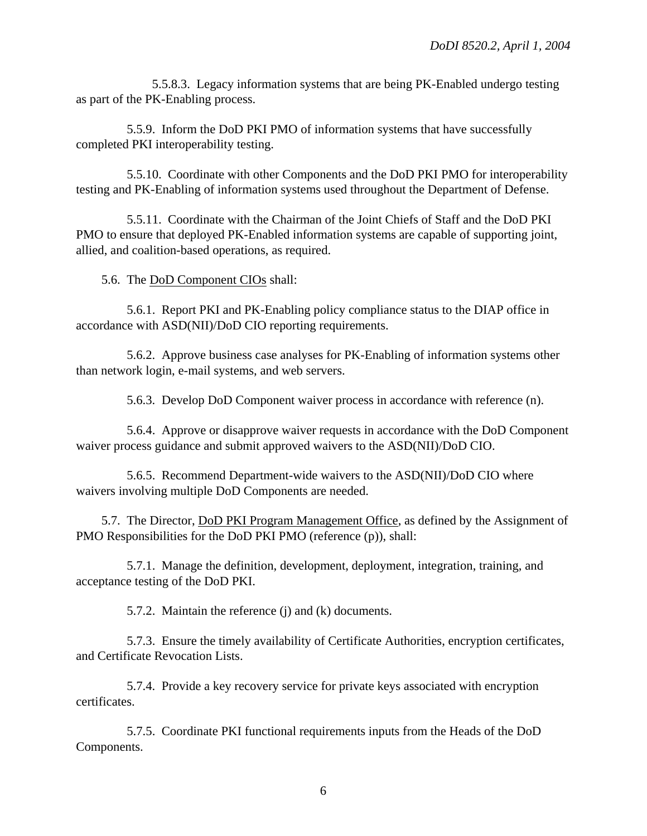5.5.8.3. Legacy information systems that are being PK-Enabled undergo testing as part of the PK-Enabling process.

5.5.9. Inform the DoD PKI PMO of information systems that have successfully completed PKI interoperability testing.

5.5.10. Coordinate with other Components and the DoD PKI PMO for interoperability testing and PK-Enabling of information systems used throughout the Department of Defense.

5.5.11. Coordinate with the Chairman of the Joint Chiefs of Staff and the DoD PKI PMO to ensure that deployed PK-Enabled information systems are capable of supporting joint, allied, and coalition-based operations, as required.

5.6. The DoD Component CIOs shall:

5.6.1. Report PKI and PK-Enabling policy compliance status to the DIAP office in accordance with ASD(NII)/DoD CIO reporting requirements.

5.6.2. Approve business case analyses for PK-Enabling of information systems other than network login, e-mail systems, and web servers.

5.6.3. Develop DoD Component waiver process in accordance with reference (n).

5.6.4. Approve or disapprove waiver requests in accordance with the DoD Component waiver process guidance and submit approved waivers to the ASD(NII)/DoD CIO.

5.6.5. Recommend Department-wide waivers to the ASD(NII)/DoD CIO where waivers involving multiple DoD Components are needed.

5.7. The Director, DoD PKI Program Management Office, as defined by the Assignment of PMO Responsibilities for the DoD PKI PMO (reference (p)), shall:

5.7.1. Manage the definition, development, deployment, integration, training, and acceptance testing of the DoD PKI.

5.7.2. Maintain the reference (j) and (k) documents.

5.7.3. Ensure the timely availability of Certificate Authorities, encryption certificates, and Certificate Revocation Lists.

5.7.4. Provide a key recovery service for private keys associated with encryption certificates.

5.7.5. Coordinate PKI functional requirements inputs from the Heads of the DoD Components.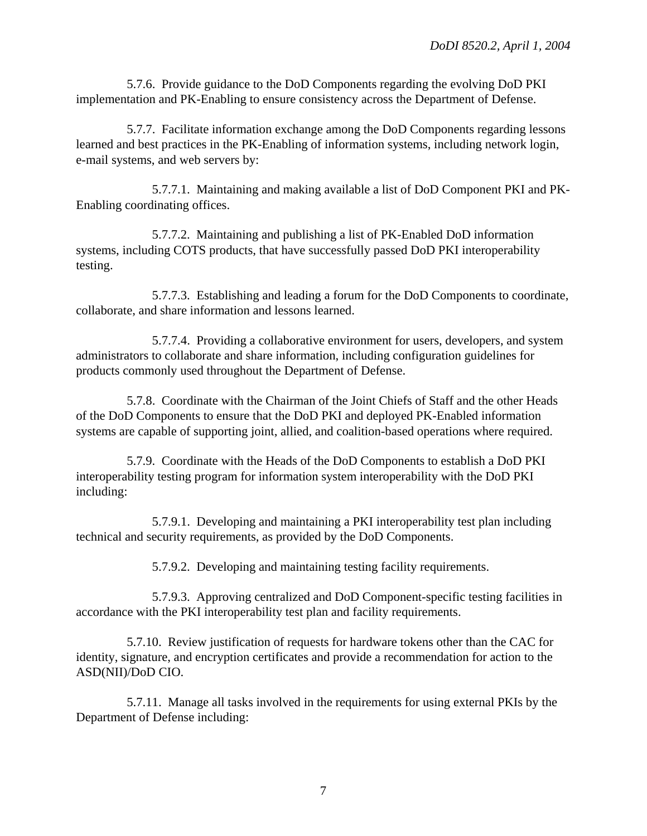5.7.6. Provide guidance to the DoD Components regarding the evolving DoD PKI implementation and PK-Enabling to ensure consistency across the Department of Defense.

5.7.7. Facilitate information exchange among the DoD Components regarding lessons learned and best practices in the PK-Enabling of information systems, including network login, e-mail systems, and web servers by:

5.7.7.1. Maintaining and making available a list of DoD Component PKI and PK-Enabling coordinating offices.

5.7.7.2. Maintaining and publishing a list of PK-Enabled DoD information systems, including COTS products, that have successfully passed DoD PKI interoperability testing.

5.7.7.3. Establishing and leading a forum for the DoD Components to coordinate, collaborate, and share information and lessons learned.

5.7.7.4. Providing a collaborative environment for users, developers, and system administrators to collaborate and share information, including configuration guidelines for products commonly used throughout the Department of Defense.

5.7.8. Coordinate with the Chairman of the Joint Chiefs of Staff and the other Heads of the DoD Components to ensure that the DoD PKI and deployed PK-Enabled information systems are capable of supporting joint, allied, and coalition-based operations where required.

5.7.9. Coordinate with the Heads of the DoD Components to establish a DoD PKI interoperability testing program for information system interoperability with the DoD PKI including:

5.7.9.1. Developing and maintaining a PKI interoperability test plan including technical and security requirements, as provided by the DoD Components.

5.7.9.2. Developing and maintaining testing facility requirements.

5.7.9.3. Approving centralized and DoD Component-specific testing facilities in accordance with the PKI interoperability test plan and facility requirements.

5.7.10. Review justification of requests for hardware tokens other than the CAC for identity, signature, and encryption certificates and provide a recommendation for action to the ASD(NII)/DoD CIO.

5.7.11. Manage all tasks involved in the requirements for using external PKIs by the Department of Defense including: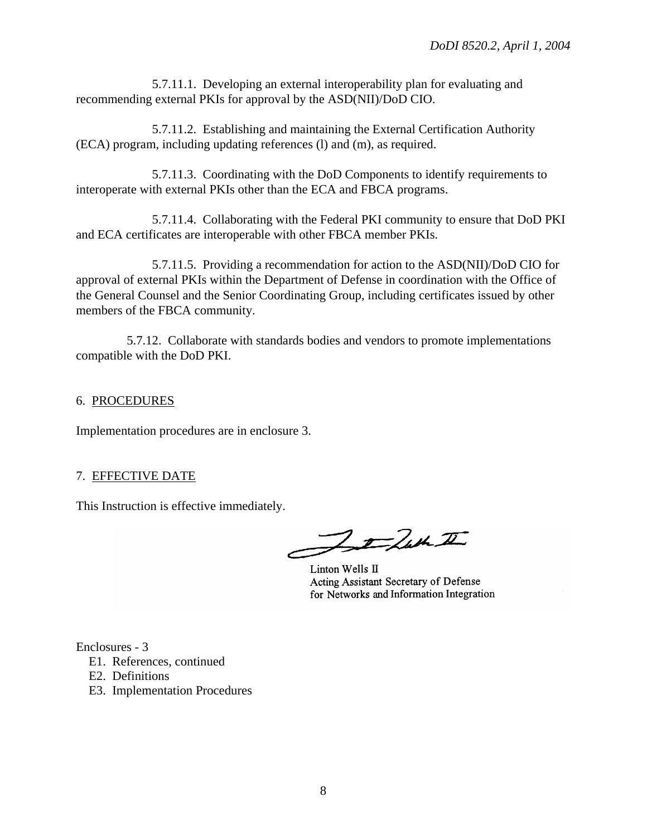5.7.11.1. Developing an external interoperability plan for evaluating and recommending external PKIs for approval by the ASD(NII)/DoD CIO.

5.7.11.2. Establishing and maintaining the External Certification Authority (ECA) program, including updating references (l) and (m), as required.

5.7.11.3. Coordinating with the DoD Components to identify requirements to interoperate with external PKIs other than the ECA and FBCA programs.

5.7.11.4. Collaborating with the Federal PKI community to ensure that DoD PKI and ECA certificates are interoperable with other FBCA member PKIs.

5.7.11.5. Providing a recommendation for action to the ASD(NII)/DoD CIO for approval of external PKIs within the Department of Defense in coordination with the Office of the General Counsel and the Senior Coordinating Group, including certificates issued by other members of the FBCA community.

5.7.12. Collaborate with standards bodies and vendors to promote implementations compatible with the DoD PKI.

## 6. PROCEDURES

Implementation procedures are in enclosure 3.

## 7. EFFECTIVE DATE

This Instruction is effective immediately.

Jefun I

Linton Wells II Acting Assistant Secretary of Defense for Networks and Information Integration

Enclosures - 3

- E1. References, continued
- E2. Definitions
- E3. Implementation Procedures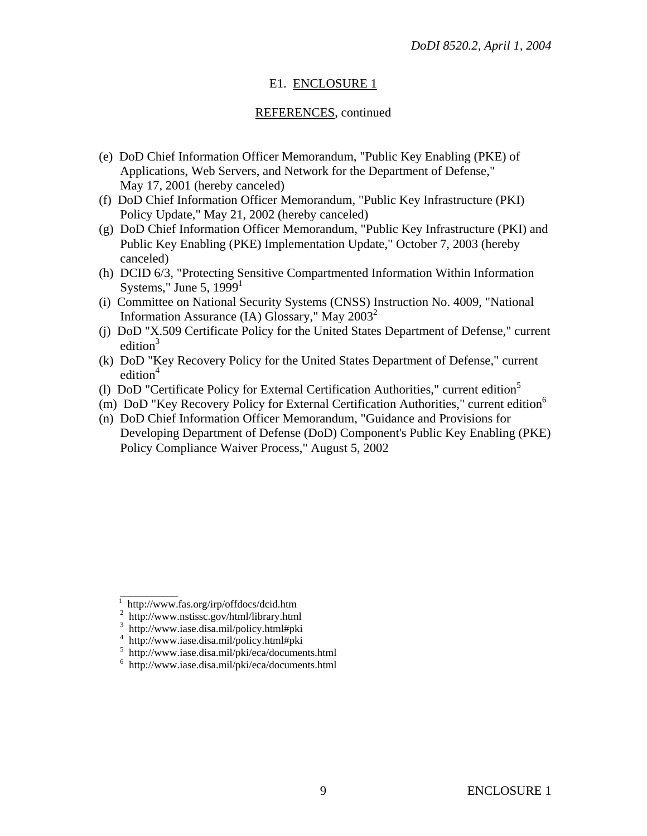# E1. ENCLOSURE 1

# REFERENCES, continued

- (e) DoD Chief Information Officer Memorandum, "Public Key Enabling (PKE) of Applications, Web Servers, and Network for the Department of Defense," May 17, 2001 (hereby canceled)
- (f) DoD Chief Information Officer Memorandum, "Public Key Infrastructure (PKI) Policy Update," May 21, 2002 (hereby canceled)
- (g) DoD Chief Information Officer Memorandum, "Public Key Infrastructure (PKI) and Public Key Enabling (PKE) Implementation Update," October 7, 2003 (hereby canceled)
- (h) DCID 6/3, "Protecting Sensitive Compartmented Information Within Information Systems," June 5,  $1999<sup>1</sup>$
- (i) Committee on National Security Systems (CNSS) Instruction No. 4009, "National Information Assurance (IA) Glossary," May  $2003^2$
- (j) DoD "X.509 Certificate Policy for the United States Department of Defense," current edition $3$
- (k) DoD "Key Recovery Policy for the United States Department of Defense," current edition<sup>4</sup>
- (l) DoD "Certificate Policy for External Certification Authorities," current edition<sup>5</sup>
- (m) DoD "Key Recovery Policy for External Certification Authorities," current edition6
- (n) DoD Chief Information Officer Memorandum, "Guidance and Provisions for Developing Department of Defense (DoD) Component's Public Key Enabling (PKE) Policy Compliance Waiver Process," August 5, 2002

\_\_\_\_\_\_\_\_\_\_\_

<sup>&</sup>lt;sup>1</sup> http://www.fas.org/irp/offdocs/dcid.htm

<sup>2</sup> http://www.nstissc.gov/html/library.html

<sup>3</sup> http://www.iase.disa.mil/policy.html#pki

<sup>4</sup> http://www.iase.disa.mil/policy.html#pki

<sup>5</sup> http://www.iase.disa.mil/pki/eca/documents.html

<sup>6</sup> http://www.iase.disa.mil/pki/eca/documents.html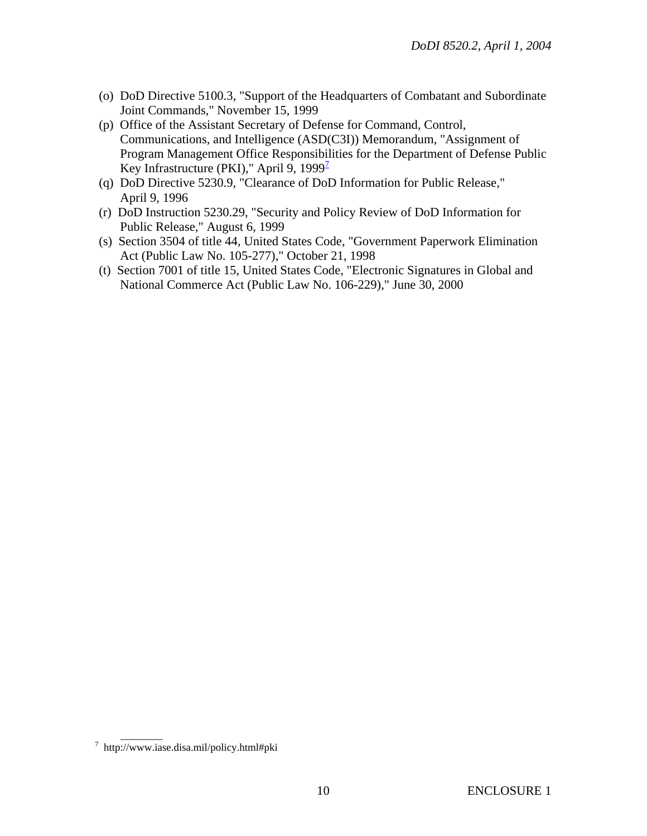- (o) DoD Directive 5100.3, "Support of the Headquarters of Combatant and Subordinate Joint Commands," November 15, 1999
- (p) Office of the Assistant Secretary of Defense for Command, Control, Communications, and Intelligence (ASD(C3I)) Memorandum, "Assignment of Program Management Office Responsibilities for the Department of Defense Public Key Infrastructure (PKI)," April 9, 1999 $^2$
- (q) DoD Directive 5230.9, "Clearance of DoD Information for Public Release," April 9, 1996
- (r) DoD Instruction 5230.29, "Security and Policy Review of DoD Information for Public Release," August 6, 1999
- (s) Section 3504 of title 44, United States Code, "Government Paperwork Elimination Act (Public Law No. 105-277)," October 21, 1998
- (t) Section 7001 of title 15, United States Code, "Electronic Signatures in Global and National Commerce Act (Public Law No. 106-229)," June 30, 2000

<sup>&</sup>lt;sup>7</sup> http://www.iase.disa.mil/policy.html#pki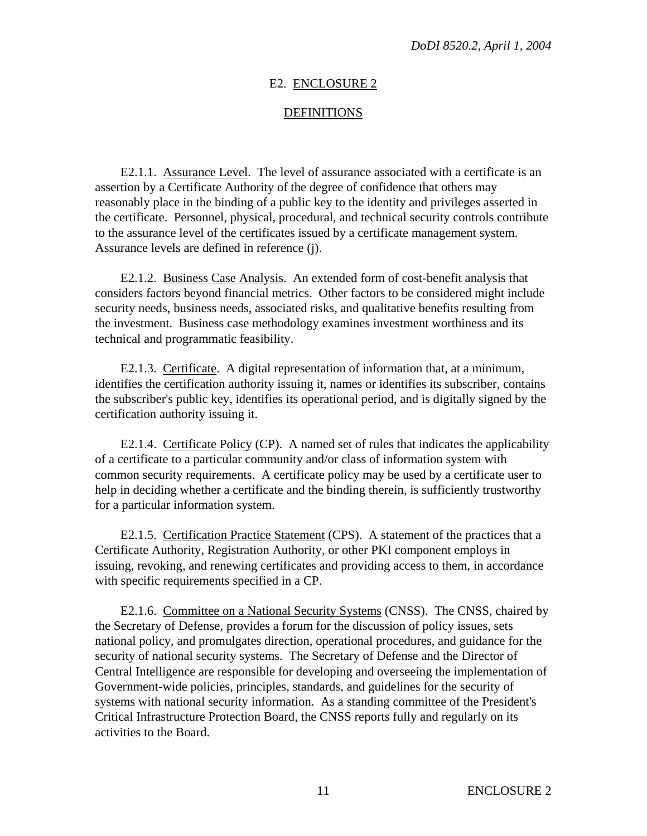#### E2. ENCLOSURE 2

#### DEFINITIONS

E2.1.1. Assurance Level. The level of assurance associated with a certificate is an assertion by a Certificate Authority of the degree of confidence that others may reasonably place in the binding of a public key to the identity and privileges asserted in the certificate. Personnel, physical, procedural, and technical security controls contribute to the assurance level of the certificates issued by a certificate management system. Assurance levels are defined in reference (j).

E2.1.2. Business Case Analysis. An extended form of cost-benefit analysis that considers factors beyond financial metrics. Other factors to be considered might include security needs, business needs, associated risks, and qualitative benefits resulting from the investment. Business case methodology examines investment worthiness and its technical and programmatic feasibility.

E2.1.3. Certificate. A digital representation of information that, at a minimum, identifies the certification authority issuing it, names or identifies its subscriber, contains the subscriber's public key, identifies its operational period, and is digitally signed by the certification authority issuing it.

E2.1.4. Certificate Policy (CP). A named set of rules that indicates the applicability of a certificate to a particular community and/or class of information system with common security requirements. A certificate policy may be used by a certificate user to help in deciding whether a certificate and the binding therein, is sufficiently trustworthy for a particular information system.

E2.1.5. Certification Practice Statement (CPS). A statement of the practices that a Certificate Authority, Registration Authority, or other PKI component employs in issuing, revoking, and renewing certificates and providing access to them, in accordance with specific requirements specified in a CP.

E2.1.6. Committee on a National Security Systems (CNSS). The CNSS, chaired by the Secretary of Defense, provides a forum for the discussion of policy issues, sets national policy, and promulgates direction, operational procedures, and guidance for the security of national security systems. The Secretary of Defense and the Director of Central Intelligence are responsible for developing and overseeing the implementation of Government-wide policies, principles, standards, and guidelines for the security of systems with national security information. As a standing committee of the President's Critical Infrastructure Protection Board, the CNSS reports fully and regularly on its activities to the Board.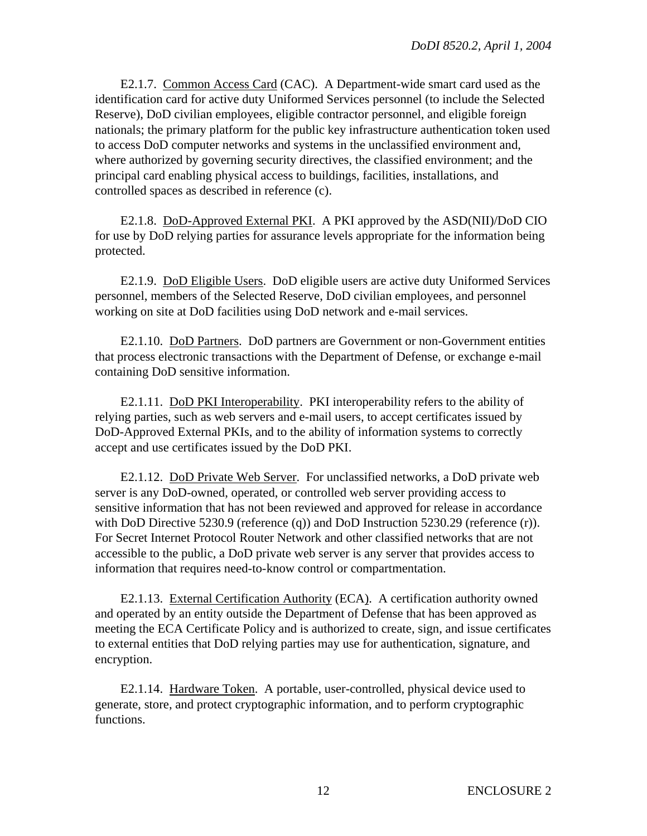E2.1.7. Common Access Card (CAC). A Department-wide smart card used as the identification card for active duty Uniformed Services personnel (to include the Selected Reserve), DoD civilian employees, eligible contractor personnel, and eligible foreign nationals; the primary platform for the public key infrastructure authentication token used to access DoD computer networks and systems in the unclassified environment and, where authorized by governing security directives, the classified environment; and the principal card enabling physical access to buildings, facilities, installations, and controlled spaces as described in reference (c).

E2.1.8. DoD-Approved External PKI. A PKI approved by the ASD(NII)/DoD CIO for use by DoD relying parties for assurance levels appropriate for the information being protected.

E2.1.9. DoD Eligible Users. DoD eligible users are active duty Uniformed Services personnel, members of the Selected Reserve, DoD civilian employees, and personnel working on site at DoD facilities using DoD network and e-mail services.

E2.1.10. DoD Partners. DoD partners are Government or non-Government entities that process electronic transactions with the Department of Defense, or exchange e-mail containing DoD sensitive information.

E2.1.11. DoD PKI Interoperability. PKI interoperability refers to the ability of relying parties, such as web servers and e-mail users, to accept certificates issued by DoD-Approved External PKIs, and to the ability of information systems to correctly accept and use certificates issued by the DoD PKI.

E2.1.12. DoD Private Web Server. For unclassified networks, a DoD private web server is any DoD-owned, operated, or controlled web server providing access to sensitive information that has not been reviewed and approved for release in accordance with DoD Directive 5230.9 (reference (q)) and DoD Instruction 5230.29 (reference (r)). For Secret Internet Protocol Router Network and other classified networks that are not accessible to the public, a DoD private web server is any server that provides access to information that requires need-to-know control or compartmentation.

E2.1.13. External Certification Authority (ECA). A certification authority owned and operated by an entity outside the Department of Defense that has been approved as meeting the ECA Certificate Policy and is authorized to create, sign, and issue certificates to external entities that DoD relying parties may use for authentication, signature, and encryption.

E2.1.14. Hardware Token. A portable, user-controlled, physical device used to generate, store, and protect cryptographic information, and to perform cryptographic functions.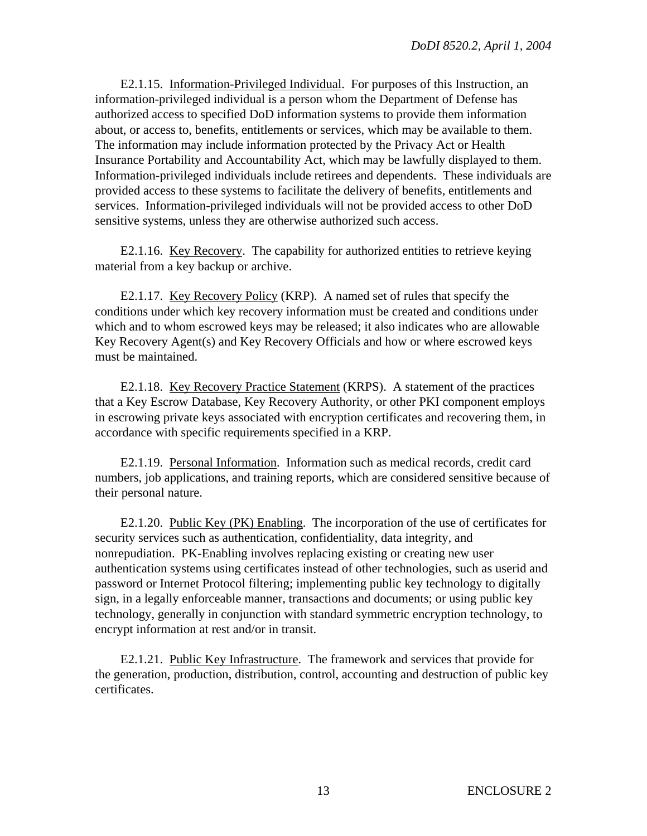E2.1.15. Information-Privileged Individual. For purposes of this Instruction, an information-privileged individual is a person whom the Department of Defense has authorized access to specified DoD information systems to provide them information about, or access to, benefits, entitlements or services, which may be available to them. The information may include information protected by the Privacy Act or Health Insurance Portability and Accountability Act, which may be lawfully displayed to them. Information-privileged individuals include retirees and dependents. These individuals are provided access to these systems to facilitate the delivery of benefits, entitlements and services. Information-privileged individuals will not be provided access to other DoD sensitive systems, unless they are otherwise authorized such access.

E2.1.16. Key Recovery. The capability for authorized entities to retrieve keying material from a key backup or archive.

E2.1.17. Key Recovery Policy (KRP). A named set of rules that specify the conditions under which key recovery information must be created and conditions under which and to whom escrowed keys may be released; it also indicates who are allowable Key Recovery Agent(s) and Key Recovery Officials and how or where escrowed keys must be maintained.

E2.1.18. Key Recovery Practice Statement (KRPS). A statement of the practices that a Key Escrow Database, Key Recovery Authority, or other PKI component employs in escrowing private keys associated with encryption certificates and recovering them, in accordance with specific requirements specified in a KRP.

E2.1.19. Personal Information. Information such as medical records, credit card numbers, job applications, and training reports, which are considered sensitive because of their personal nature.

E2.1.20. Public Key (PK) Enabling. The incorporation of the use of certificates for security services such as authentication, confidentiality, data integrity, and nonrepudiation. PK-Enabling involves replacing existing or creating new user authentication systems using certificates instead of other technologies, such as userid and password or Internet Protocol filtering; implementing public key technology to digitally sign, in a legally enforceable manner, transactions and documents; or using public key technology, generally in conjunction with standard symmetric encryption technology, to encrypt information at rest and/or in transit.

E2.1.21. Public Key Infrastructure. The framework and services that provide for the generation, production, distribution, control, accounting and destruction of public key certificates.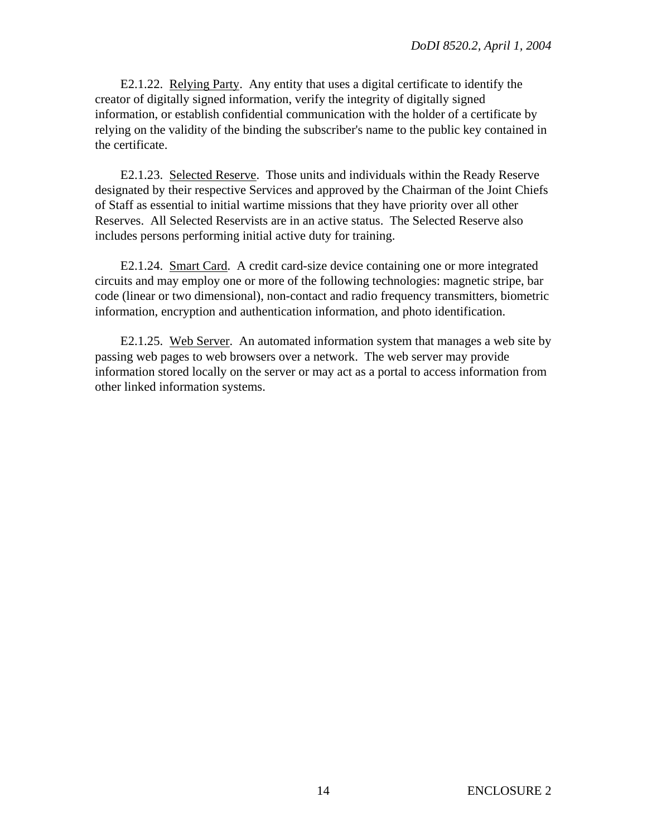E2.1.22. Relying Party. Any entity that uses a digital certificate to identify the creator of digitally signed information, verify the integrity of digitally signed information, or establish confidential communication with the holder of a certificate by relying on the validity of the binding the subscriber's name to the public key contained in the certificate.

E2.1.23. Selected Reserve. Those units and individuals within the Ready Reserve designated by their respective Services and approved by the Chairman of the Joint Chiefs of Staff as essential to initial wartime missions that they have priority over all other Reserves. All Selected Reservists are in an active status. The Selected Reserve also includes persons performing initial active duty for training.

E2.1.24. Smart Card. A credit card-size device containing one or more integrated circuits and may employ one or more of the following technologies: magnetic stripe, bar code (linear or two dimensional), non-contact and radio frequency transmitters, biometric information, encryption and authentication information, and photo identification.

E2.1.25. Web Server. An automated information system that manages a web site by passing web pages to web browsers over a network. The web server may provide information stored locally on the server or may act as a portal to access information from other linked information systems.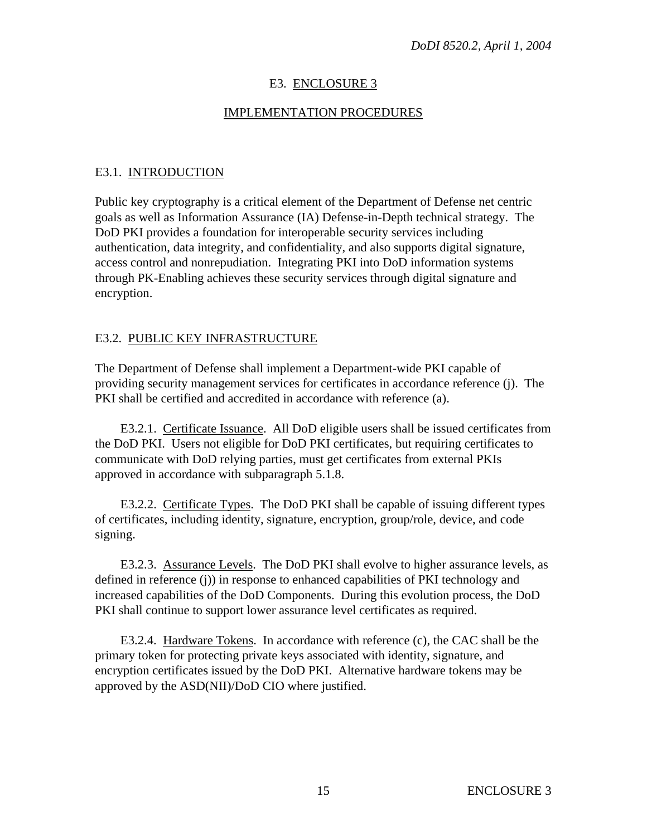# E3. ENCLOSURE 3

# IMPLEMENTATION PROCEDURES

# E3.1. INTRODUCTION

Public key cryptography is a critical element of the Department of Defense net centric goals as well as Information Assurance (IA) Defense-in-Depth technical strategy. The DoD PKI provides a foundation for interoperable security services including authentication, data integrity, and confidentiality, and also supports digital signature, access control and nonrepudiation. Integrating PKI into DoD information systems through PK-Enabling achieves these security services through digital signature and encryption.

## E3.2. PUBLIC KEY INFRASTRUCTURE

The Department of Defense shall implement a Department-wide PKI capable of providing security management services for certificates in accordance reference (j). The PKI shall be certified and accredited in accordance with reference (a).

E3.2.1. Certificate Issuance. All DoD eligible users shall be issued certificates from the DoD PKI. Users not eligible for DoD PKI certificates, but requiring certificates to communicate with DoD relying parties, must get certificates from external PKIs approved in accordance with subparagraph 5.1.8.

E3.2.2. Certificate Types. The DoD PKI shall be capable of issuing different types of certificates, including identity, signature, encryption, group/role, device, and code signing.

E3.2.3. Assurance Levels. The DoD PKI shall evolve to higher assurance levels, as defined in reference (j)) in response to enhanced capabilities of PKI technology and increased capabilities of the DoD Components. During this evolution process, the DoD PKI shall continue to support lower assurance level certificates as required.

E3.2.4. Hardware Tokens. In accordance with reference (c), the CAC shall be the primary token for protecting private keys associated with identity, signature, and encryption certificates issued by the DoD PKI. Alternative hardware tokens may be approved by the ASD(NII)/DoD CIO where justified.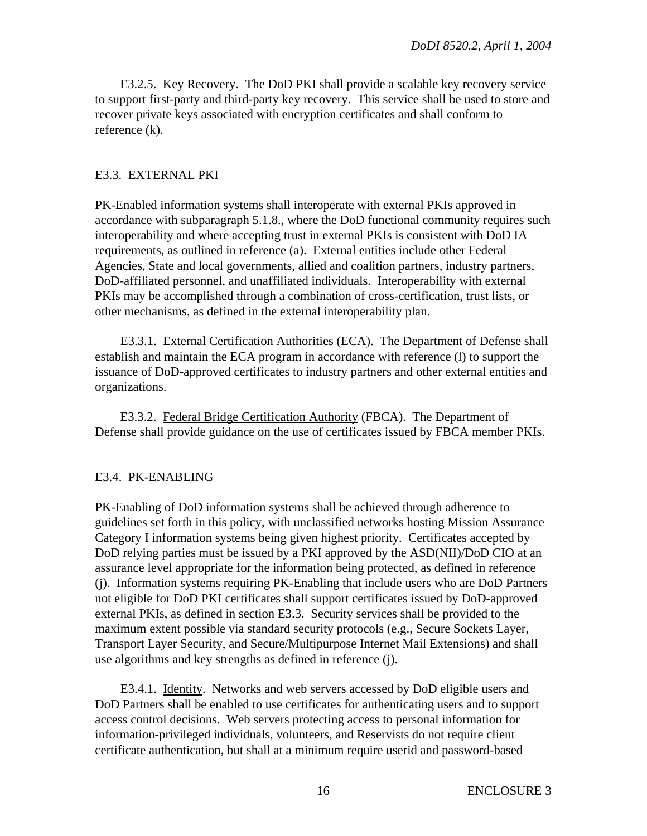E3.2.5. Key Recovery. The DoD PKI shall provide a scalable key recovery service to support first-party and third-party key recovery. This service shall be used to store and recover private keys associated with encryption certificates and shall conform to reference (k).

## E3.3. EXTERNAL PKI

PK-Enabled information systems shall interoperate with external PKIs approved in accordance with subparagraph 5.1.8., where the DoD functional community requires such interoperability and where accepting trust in external PKIs is consistent with DoD IA requirements, as outlined in reference (a). External entities include other Federal Agencies, State and local governments, allied and coalition partners, industry partners, DoD-affiliated personnel, and unaffiliated individuals. Interoperability with external PKIs may be accomplished through a combination of cross-certification, trust lists, or other mechanisms, as defined in the external interoperability plan.

E3.3.1. External Certification Authorities (ECA). The Department of Defense shall establish and maintain the ECA program in accordance with reference (l) to support the issuance of DoD-approved certificates to industry partners and other external entities and organizations.

E3.3.2. Federal Bridge Certification Authority (FBCA). The Department of Defense shall provide guidance on the use of certificates issued by FBCA member PKIs.

## E3.4. PK-ENABLING

PK-Enabling of DoD information systems shall be achieved through adherence to guidelines set forth in this policy, with unclassified networks hosting Mission Assurance Category I information systems being given highest priority. Certificates accepted by DoD relying parties must be issued by a PKI approved by the ASD(NII)/DoD CIO at an assurance level appropriate for the information being protected, as defined in reference (j). Information systems requiring PK-Enabling that include users who are DoD Partners not eligible for DoD PKI certificates shall support certificates issued by DoD-approved external PKIs, as defined in section E3.3. Security services shall be provided to the maximum extent possible via standard security protocols (e.g., Secure Sockets Layer, Transport Layer Security, and Secure/Multipurpose Internet Mail Extensions) and shall use algorithms and key strengths as defined in reference (j).

E3.4.1. Identity. Networks and web servers accessed by DoD eligible users and DoD Partners shall be enabled to use certificates for authenticating users and to support access control decisions. Web servers protecting access to personal information for information-privileged individuals, volunteers, and Reservists do not require client certificate authentication, but shall at a minimum require userid and password-based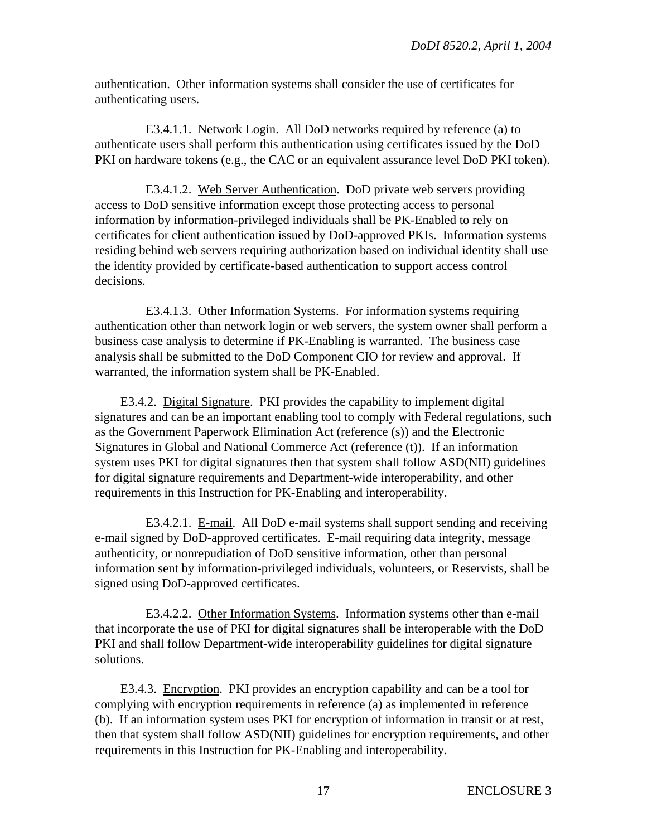authentication. Other information systems shall consider the use of certificates for authenticating users.

E3.4.1.1. Network Login. All DoD networks required by reference (a) to authenticate users shall perform this authentication using certificates issued by the DoD PKI on hardware tokens (e.g., the CAC or an equivalent assurance level DoD PKI token).

E3.4.1.2. Web Server Authentication. DoD private web servers providing access to DoD sensitive information except those protecting access to personal information by information-privileged individuals shall be PK-Enabled to rely on certificates for client authentication issued by DoD-approved PKIs. Information systems residing behind web servers requiring authorization based on individual identity shall use the identity provided by certificate-based authentication to support access control decisions.

E3.4.1.3. Other Information Systems. For information systems requiring authentication other than network login or web servers, the system owner shall perform a business case analysis to determine if PK-Enabling is warranted. The business case analysis shall be submitted to the DoD Component CIO for review and approval. If warranted, the information system shall be PK-Enabled.

E3.4.2. Digital Signature. PKI provides the capability to implement digital signatures and can be an important enabling tool to comply with Federal regulations, such as the Government Paperwork Elimination Act (reference (s)) and the Electronic Signatures in Global and National Commerce Act (reference (t)). If an information system uses PKI for digital signatures then that system shall follow ASD(NII) guidelines for digital signature requirements and Department-wide interoperability, and other requirements in this Instruction for PK-Enabling and interoperability.

E3.4.2.1. E-mail. All DoD e-mail systems shall support sending and receiving e-mail signed by DoD-approved certificates. E-mail requiring data integrity, message authenticity, or nonrepudiation of DoD sensitive information, other than personal information sent by information-privileged individuals, volunteers, or Reservists, shall be signed using DoD-approved certificates.

E3.4.2.2. Other Information Systems. Information systems other than e-mail that incorporate the use of PKI for digital signatures shall be interoperable with the DoD PKI and shall follow Department-wide interoperability guidelines for digital signature solutions.

E3.4.3. Encryption. PKI provides an encryption capability and can be a tool for complying with encryption requirements in reference (a) as implemented in reference (b). If an information system uses PKI for encryption of information in transit or at rest, then that system shall follow ASD(NII) guidelines for encryption requirements, and other requirements in this Instruction for PK-Enabling and interoperability.